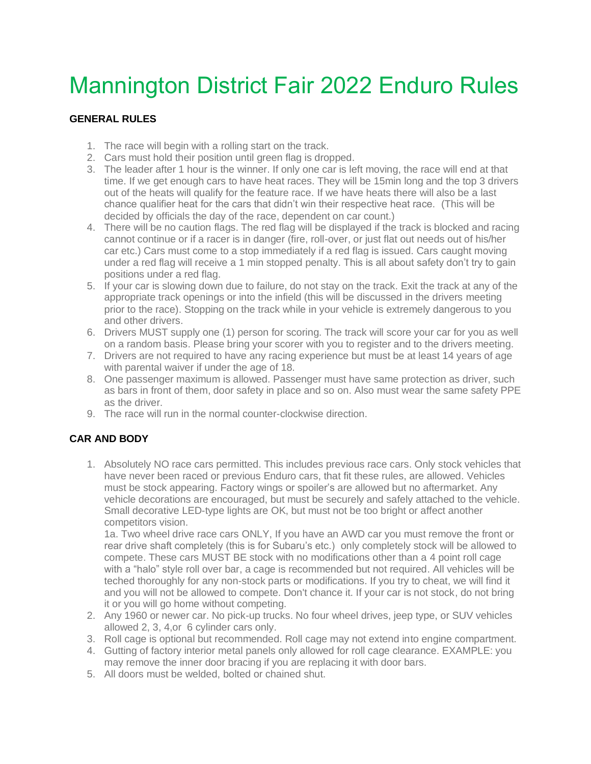# Mannington District Fair 2022 Enduro Rules

#### **GENERAL RULES**

- 1. The race will begin with a rolling start on the track.
- 2. Cars must hold their position until green flag is dropped.
- 3. The leader after 1 hour is the winner. If only one car is left moving, the race will end at that time. If we get enough cars to have heat races. They will be 15min long and the top 3 drivers out of the heats will qualify for the feature race. If we have heats there will also be a last chance qualifier heat for the cars that didn't win their respective heat race. (This will be decided by officials the day of the race, dependent on car count.)
- 4. There will be no caution flags. The red flag will be displayed if the track is blocked and racing cannot continue or if a racer is in danger (fire, roll-over, or just flat out needs out of his/her car etc.) Cars must come to a stop immediately if a red flag is issued. Cars caught moving under a red flag will receive a 1 min stopped penalty. This is all about safety don't try to gain positions under a red flag.
- 5. If your car is slowing down due to failure, do not stay on the track. Exit the track at any of the appropriate track openings or into the infield (this will be discussed in the drivers meeting prior to the race). Stopping on the track while in your vehicle is extremely dangerous to you and other drivers.
- 6. Drivers MUST supply one (1) person for scoring. The track will score your car for you as well on a random basis. Please bring your scorer with you to register and to the drivers meeting.
- 7. Drivers are not required to have any racing experience but must be at least 14 years of age with parental waiver if under the age of 18.
- 8. One passenger maximum is allowed. Passenger must have same protection as driver, such as bars in front of them, door safety in place and so on. Also must wear the same safety PPE as the driver.
- 9. The race will run in the normal counter-clockwise direction.

#### **CAR AND BODY**

1. Absolutely NO race cars permitted. This includes previous race cars. Only stock vehicles that have never been raced or previous Enduro cars, that fit these rules, are allowed. Vehicles must be stock appearing. Factory wings or spoiler's are allowed but no aftermarket. Any vehicle decorations are encouraged, but must be securely and safely attached to the vehicle. Small decorative LED-type lights are OK, but must not be too bright or affect another competitors vision.

1a. Two wheel drive race cars ONLY, If you have an AWD car you must remove the front or rear drive shaft completely (this is for Subaru's etc.) only completely stock will be allowed to compete. These cars MUST BE stock with no modifications other than a 4 point roll cage with a "halo" style roll over bar, a cage is recommended but not required. All vehicles will be teched thoroughly for any non-stock parts or modifications. If you try to cheat, we will find it and you will not be allowed to compete. Don't chance it. If your car is not stock, do not bring it or you will go home without competing.

- 2. Any 1960 or newer car. No pick-up trucks. No four wheel drives, jeep type, or SUV vehicles allowed 2, 3, 4,or 6 cylinder cars only.
- 3. Roll cage is optional but recommended. Roll cage may not extend into engine compartment.
- 4. Gutting of factory interior metal panels only allowed for roll cage clearance. EXAMPLE: you may remove the inner door bracing if you are replacing it with door bars.
- 5. All doors must be welded, bolted or chained shut.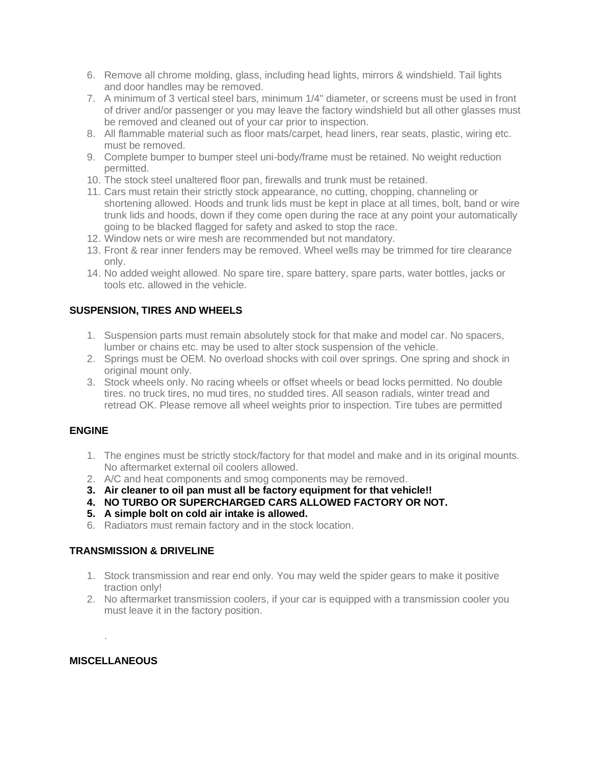- 6. Remove all chrome molding, glass, including head lights, mirrors & windshield. Tail lights and door handles may be removed.
- 7. A minimum of 3 vertical steel bars, minimum 1/4" diameter, or screens must be used in front of driver and/or passenger or you may leave the factory windshield but all other glasses must be removed and cleaned out of your car prior to inspection.
- 8. All flammable material such as floor mats/carpet, head liners, rear seats, plastic, wiring etc. must be removed.
- 9. Complete bumper to bumper steel uni-body/frame must be retained. No weight reduction permitted.
- 10. The stock steel unaltered floor pan, firewalls and trunk must be retained.
- 11. Cars must retain their strictly stock appearance, no cutting, chopping, channeling or shortening allowed. Hoods and trunk lids must be kept in place at all times, bolt, band or wire trunk lids and hoods, down if they come open during the race at any point your automatically going to be blacked flagged for safety and asked to stop the race.
- 12. Window nets or wire mesh are recommended but not mandatory.
- 13. Front & rear inner fenders may be removed. Wheel wells may be trimmed for tire clearance only.
- 14. No added weight allowed. No spare tire, spare battery, spare parts, water bottles, jacks or tools etc. allowed in the vehicle.

#### **SUSPENSION, TIRES AND WHEELS**

- 1. Suspension parts must remain absolutely stock for that make and model car. No spacers, lumber or chains etc. may be used to alter stock suspension of the vehicle.
- 2. Springs must be OEM. No overload shocks with coil over springs. One spring and shock in original mount only.
- 3. Stock wheels only. No racing wheels or offset wheels or bead locks permitted. No double tires. no truck tires, no mud tires, no studded tires. All season radials, winter tread and retread OK. Please remove all wheel weights prior to inspection. Tire tubes are permitted

#### **ENGINE**

- 1. The engines must be strictly stock/factory for that model and make and in its original mounts. No aftermarket external oil coolers allowed.
- 2. A/C and heat components and smog components may be removed.
- **3. Air cleaner to oil pan must all be factory equipment for that vehicle!!**
- **4. NO TURBO OR SUPERCHARGED CARS ALLOWED FACTORY OR NOT.**
- **5. A simple bolt on cold air intake is allowed.**
- 6. Radiators must remain factory and in the stock location.

#### **TRANSMISSION & DRIVELINE**

- 1. Stock transmission and rear end only. You may weld the spider gears to make it positive traction only!
- 2. No aftermarket transmission coolers, if your car is equipped with a transmission cooler you must leave it in the factory position.

#### **MISCELLANEOUS**

.